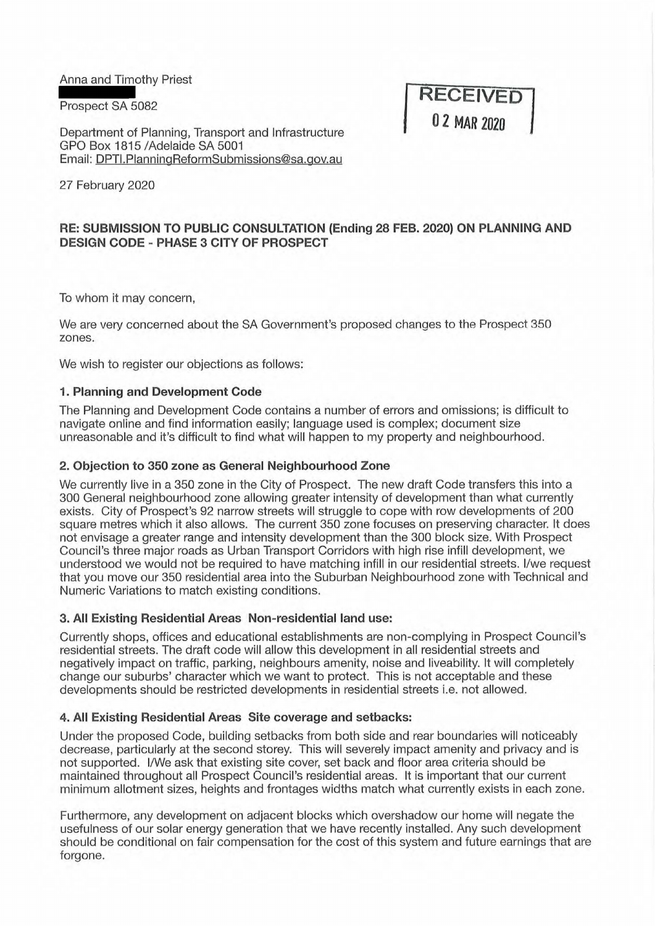Anna and Timothy Priest

Prospect SA 5082

Department of Planning, Transport and Infrastructure GPO Box 1815 /Adelaide SA 5001 Email: DPTI.PlanningReformSubmissions@sa.gov.au **RECEIVED 0 2 MAR 2020** 

27 February 2020

# **RE: SUBMISSION TO PUBLIC CONSULTATION (Ending 28 FEB. 2020) ON PLANNING AND DESIGN CODE - PHASE 3 CITY OF PROSPECT**

To whom it may concern,

We are very concerned about the SA Government's proposed changes to the Prospect 350 zones.

We wish to register our objections as follows:

### **1. Planning and Development Code**

The Planning and Development Code contains a number of errors and omissions; is difficult to navigate online and find information easily; language used is complex; document size unreasonable and it's difficult to find what will happen to my property and neighbourhood.

### **2. Objection to 350 zone as General Neighbourhood Zone**

We currently live in a 350 zone in the City of Prospect. The new draft Code transfers this into a 300 General neighbourhood zone allowing greater intensity of development than what currently exists. City of Prospect's 92 narrow streets will struggle to cope with row developments of 200 square metres which it also allows. The current 350 zone focuses on preserving character. It does not envisage a greater range and intensity development than the 300 block size. With Prospect Council's three major roads as Urban Transport Corridors with high rise infill development, we understood we would not be required to have matching infill in our residential streets. I/we request that you move our 350 residential area into the Suburban Neighbourhood zone with Technical and Numeric Variations to match existing conditions.

## **3. All Existing Residential Areas Non-residential land use:**

Currently shops, offices and educational establishments are non-complying in Prospect Council's residential streets. The draft code will allow this development in all residential streets and negatively impact on traffic, parking, neighbours amenity, noise and liveability. It will completely change our suburbs' character which we want to protect. This is not acceptable and these developments should be restricted developments in residential streets i.e. not allowed.

#### **4. All Existing Residential Areas Site coverage and setbacks:**

Under the proposed Code, building setbacks from both side and rear boundaries will noticeably decrease, particularly at the second storey. This will severely impact amenity and privacy and is not supported. I/We ask that existing site cover, set back and floor area criteria should be maintained throughout all Prospect Council's residential areas. It is important that our current minimum allotment sizes, heights and frontages widths match what currently exists in each zone.

Furthermore, any development on adjacent blocks which overshadow our home will negate the usefulness of our solar energy generation that we have recently installed. Any such development should be conditional on fair compensation for the cost of this system and future earnings that are forgone.